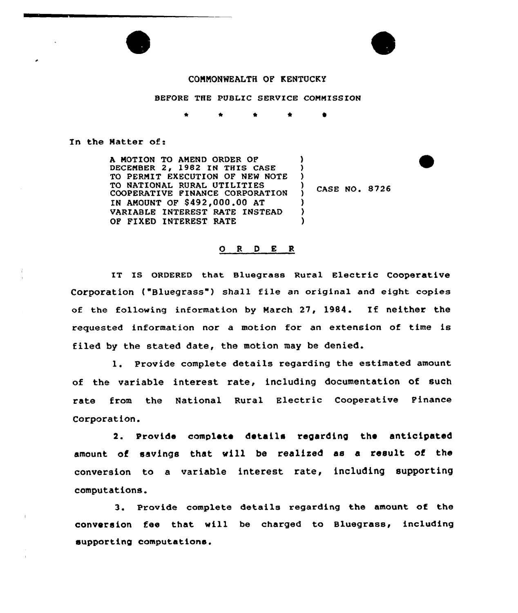



## CONNONWEALTH OF KENTUCKY

BEFORE THE PUBLIC SERVICE COMMISSION

In the Natter of:

A NOTION TO ANEND ORDER OF ) DECEMBER 2, 1982 IN THIS CASE ) TO PERMIT EXECUTION OF NEW NOTE ) TO NATIONAL RURAL UTILITIES ı, COOPERATIVE FINANCE CORPORATION  $\lambda$ IN ANOUNT OF \$492,000.00 AT ) VARIABLE INTEREST RATE INSTEAD ) OP FIXED INTEREST RATE )

CASE NO. 8726

## O R D E R

IT IS ORDERED that Bluegrass Rural Electric Cooperative Corporation ("Bluegrass") shall file an original and eight copies of the following information by March 27, l984. If neither the requested information nor a motion for an extension of time is filed by the stated date, the motion may be denied.

l. Provide complete details regarding the estimated amount of the variable interest rate, including documentation of such rate from the National Rural Electric Cooperative Pinance Corporation.

2. Provide complete details regarding the anticipated amount, of savings that vill be realised as a result of the conversion to a variable interest rate, including supporting computations.

3. Provide complete details regarding the amount, of the conversion fee that will be charged to Bluegrass, including supporting computations.